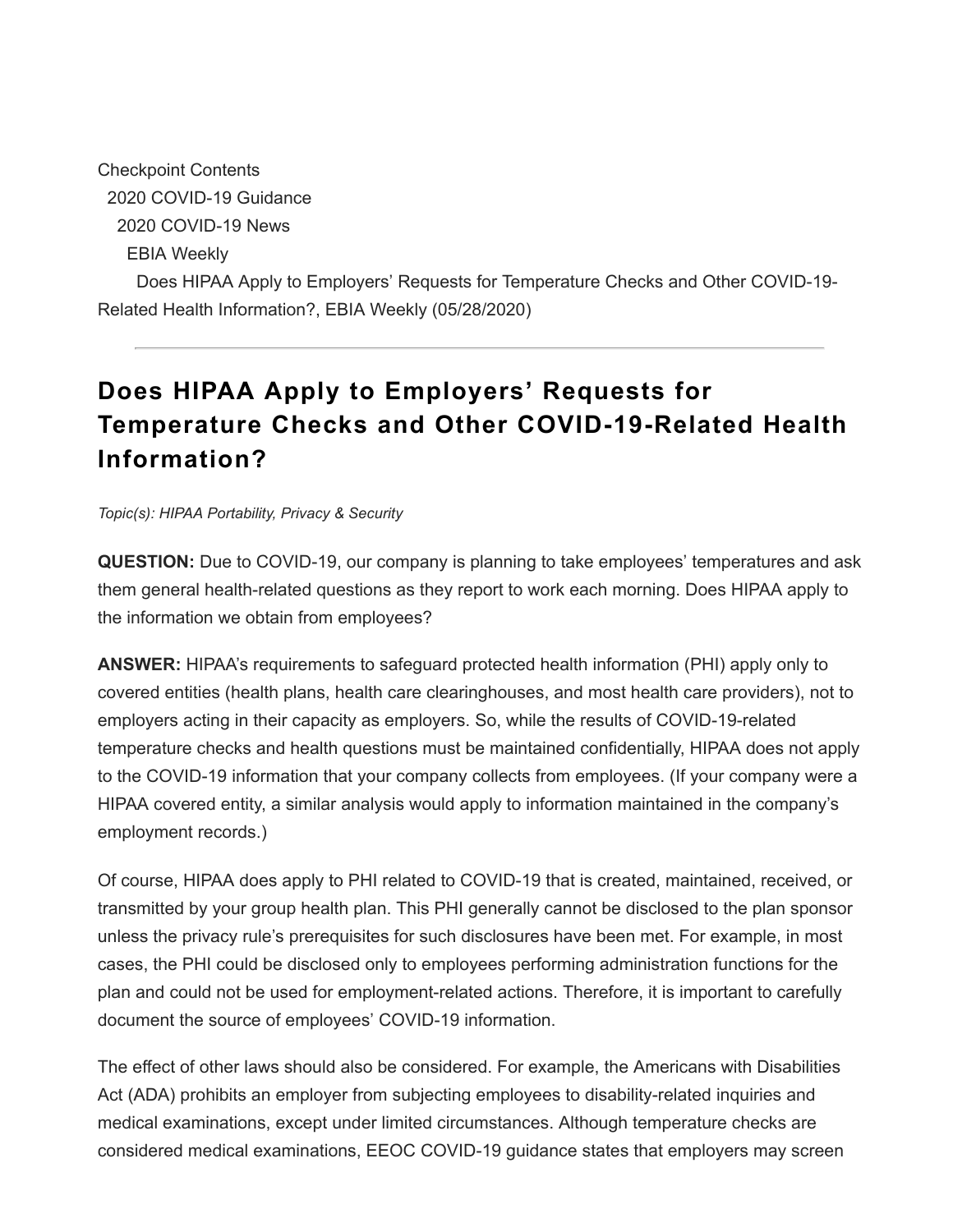Checkpoint Contents 2020 COVID-19 Guidance 2020 COVID-19 News EBIA Weekly Does HIPAA Apply to Employers' Requests for Temperature Checks and Other COVID-19- Related Health Information?, EBIA Weekly (05/28/2020)

## **Does HIPAA Apply to Employers' Requests for Temperature Checks and Other COVID-19-Related Health Information?**

*Topic(s): HIPAA Portability, Privacy & Security*

**QUESTION:** Due to COVID-19, our company is planning to take employees' temperatures and ask them general health-related questions as they report to work each morning. Does HIPAA apply to the information we obtain from employees?

**ANSWER:** HIPAA's requirements to safeguard protected health information (PHI) apply only to covered entities (health plans, health care clearinghouses, and most health care providers), not to employers acting in their capacity as employers. So, while the results of COVID-19-related temperature checks and health questions must be maintained confidentially, HIPAA does not apply to the COVID-19 information that your company collects from employees. (If your company were a HIPAA covered entity, a similar analysis would apply to information maintained in the company's employment records.)

Of course, HIPAA does apply to PHI related to COVID-19 that is created, maintained, received, or transmitted by your group health plan. This PHI generally cannot be disclosed to the plan sponsor unless the privacy rule's prerequisites for such disclosures have been met. For example, in most cases, the PHI could be disclosed only to employees performing administration functions for the plan and could not be used for employment-related actions. Therefore, it is important to carefully document the source of employees' COVID-19 information.

The effect of other laws should also be considered. For example, the Americans with Disabilities Act (ADA) prohibits an employer from subjecting employees to disability-related inquiries and medical examinations, except under limited circumstances. Although temperature checks are considered medical examinations, EEOC COVID-19 guidance states that employers may screen